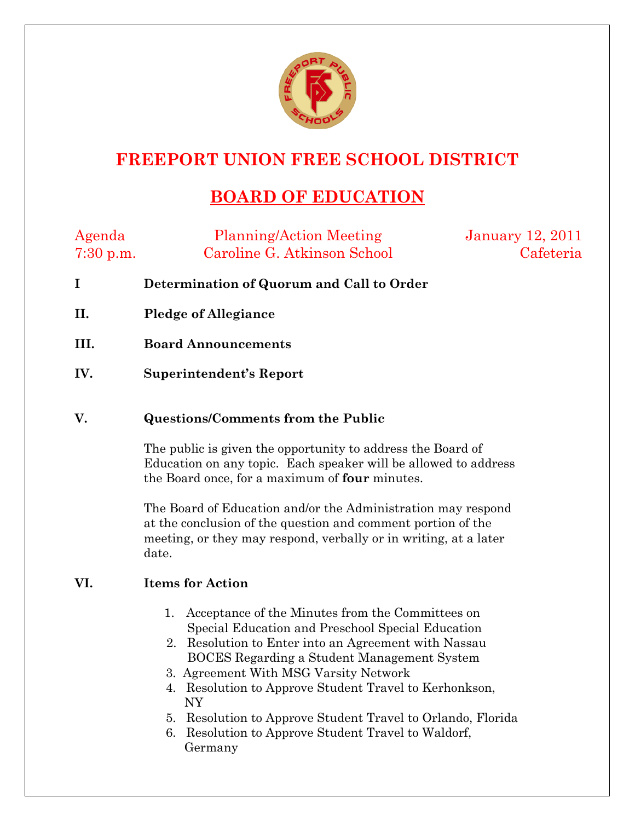

## **FREEPORT UNION FREE SCHOOL DISTRICT**

## **BOARD OF EDUCATION**

| Agenda      | <b>Planning/Action Meeting</b> | <b>January 12, 2011</b> |
|-------------|--------------------------------|-------------------------|
| $7:30$ p.m. | Caroline G. Atkinson School    | Cafeteria               |

- **I Determination of Quorum and Call to Order**
- **II. Pledge of Allegiance**
- **III. Board Announcements**
- **IV. Superintendent's Report**

## **V. Questions/Comments from the Public**

The public is given the opportunity to address the Board of Education on any topic. Each speaker will be allowed to address the Board once, for a maximum of **four** minutes.

The Board of Education and/or the Administration may respond at the conclusion of the question and comment portion of the meeting, or they may respond, verbally or in writing, at a later date.

## **VI. Items for Action**

- 1. Acceptance of the Minutes from the Committees on Special Education and Preschool Special Education
- 2. Resolution to Enter into an Agreement with Nassau BOCES Regarding a Student Management System
- 3. Agreement With MSG Varsity Network
- 4. Resolution to Approve Student Travel to Kerhonkson, NY
- 5. Resolution to Approve Student Travel to Orlando, Florida
- 6. Resolution to Approve Student Travel to Waldorf, Germany